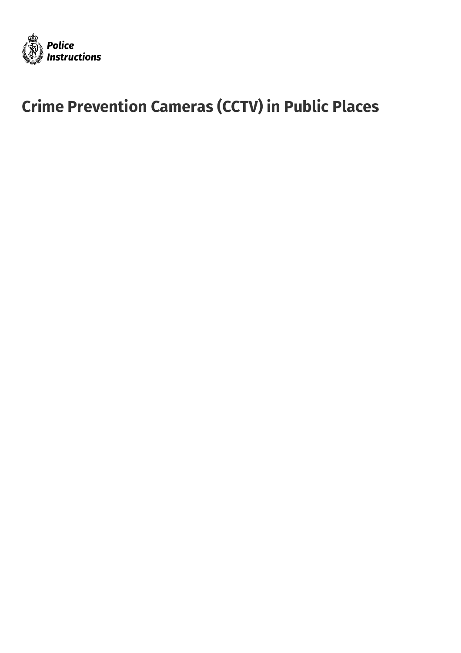

# **Crime Prevention Cameras (CCTV) in Public Places**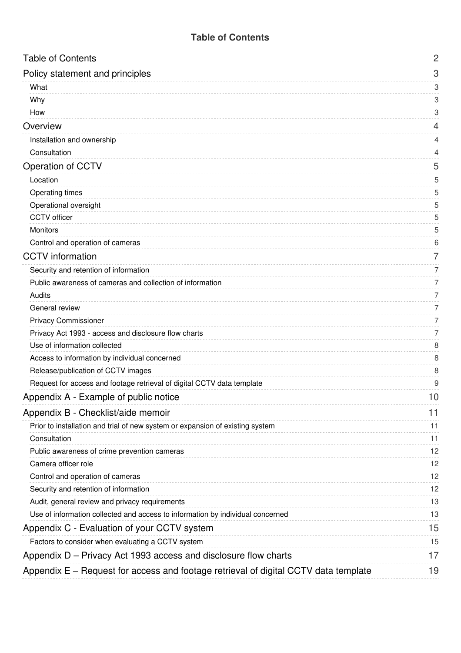#### **Table of [Contents](#page-1-0)**

<span id="page-1-39"></span><span id="page-1-38"></span><span id="page-1-37"></span><span id="page-1-36"></span><span id="page-1-35"></span><span id="page-1-34"></span><span id="page-1-33"></span><span id="page-1-32"></span><span id="page-1-31"></span><span id="page-1-30"></span><span id="page-1-29"></span><span id="page-1-28"></span><span id="page-1-27"></span><span id="page-1-26"></span><span id="page-1-25"></span><span id="page-1-24"></span><span id="page-1-23"></span><span id="page-1-22"></span><span id="page-1-21"></span><span id="page-1-20"></span><span id="page-1-19"></span><span id="page-1-18"></span><span id="page-1-17"></span><span id="page-1-16"></span><span id="page-1-15"></span><span id="page-1-14"></span><span id="page-1-13"></span><span id="page-1-12"></span><span id="page-1-11"></span><span id="page-1-10"></span><span id="page-1-9"></span><span id="page-1-8"></span><span id="page-1-7"></span><span id="page-1-6"></span><span id="page-1-5"></span><span id="page-1-4"></span><span id="page-1-3"></span><span id="page-1-2"></span><span id="page-1-1"></span><span id="page-1-0"></span>

| <b>Table of Contents</b>                                                            | $\overline{2}$ |
|-------------------------------------------------------------------------------------|----------------|
| Policy statement and principles                                                     | 3              |
| What                                                                                | 3              |
| Why                                                                                 | 3              |
| How                                                                                 | 3              |
| Overview                                                                            | 4              |
| Installation and ownership                                                          | 4              |
| Consultation                                                                        | 4              |
| Operation of CCTV                                                                   | 5              |
| Location                                                                            | 5              |
| <b>Operating times</b>                                                              | 5              |
| Operational oversight                                                               | 5              |
| <b>CCTV</b> officer                                                                 | 5              |
| Monitors                                                                            | 5              |
| Control and operation of cameras                                                    | 6              |
| <b>CCTV</b> information                                                             | 7              |
| Security and retention of information                                               | 7              |
| Public awareness of cameras and collection of information                           | 7              |
| Audits                                                                              | 7              |
| General review                                                                      | 7              |
| <b>Privacy Commissioner</b>                                                         | 7              |
| Privacy Act 1993 - access and disclosure flow charts                                | 7              |
| Use of information collected                                                        | 8              |
| Access to information by individual concerned                                       | 8              |
| Release/publication of CCTV images                                                  | 8              |
| Request for access and footage retrieval of digital CCTV data template              | 9              |
| Appendix A - Example of public notice                                               | 10             |
| Appendix B - Checklist/aide memoir                                                  | 11             |
| Prior to installation and trial of new system or expansion of existing system       | 11             |
| Consultation                                                                        | 11             |
| Public awareness of crime prevention cameras                                        | 12             |
| Camera officer role                                                                 | 12             |
| Control and operation of cameras                                                    | 12             |
| Security and retention of information                                               | 12             |
| Audit, general review and privacy requirements                                      | 13             |
| Use of information collected and access to information by individual concerned      | 13             |
| Appendix C - Evaluation of your CCTV system                                         | 15             |
| Factors to consider when evaluating a CCTV system                                   | 15             |
| Appendix D – Privacy Act 1993 access and disclosure flow charts                     | 17             |
| Appendix E - Request for access and footage retrieval of digital CCTV data template | 19             |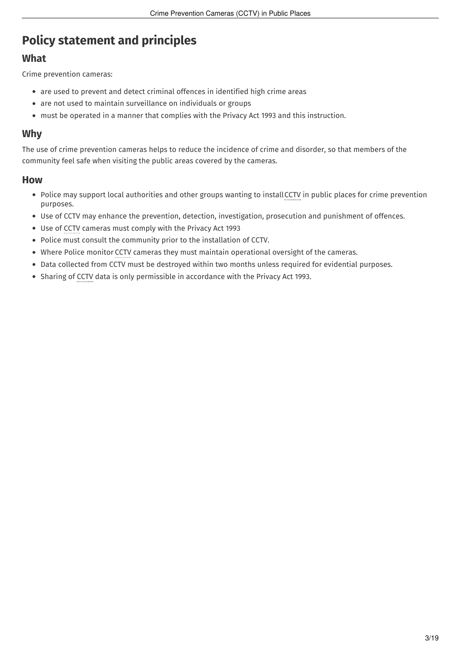## <span id="page-2-0"></span>**Policy [statement](#page-1-1) and principles**

#### <span id="page-2-1"></span>**[What](#page-1-2)**

Crime prevention cameras:

- are used to prevent and detect criminal offences in identified high crime areas
- are not used to maintain surveillance on individuals or groups
- must be operated in a manner that complies with the Privacy Act 1993 and this instruction.

#### <span id="page-2-2"></span>**[Why](#page-1-3)**

The use of crime prevention cameras helps to reduce the incidence of crime and disorder, so that members of the community feel safe when visiting the public areas covered by the cameras.

#### <span id="page-2-3"></span>**[How](#page-1-4)**

- Police may support local authorities and other groups wanting to installCCTV in public places for crime prevention purposes.
- Use of CCTV may enhance the prevention, detection, investigation, prosecution and punishment of offences.
- Use of CCTV cameras must comply with the Privacy Act 1993
- Police must consult the community prior to the installation of CCTV.
- Where Police monitor CCTV cameras they must maintain operational oversight of the cameras.
- Data collected from CCTV must be destroyed within two months unless required for evidential purposes.
- Sharing of CCTV data is only permissible in accordance with the Privacy Act 1993.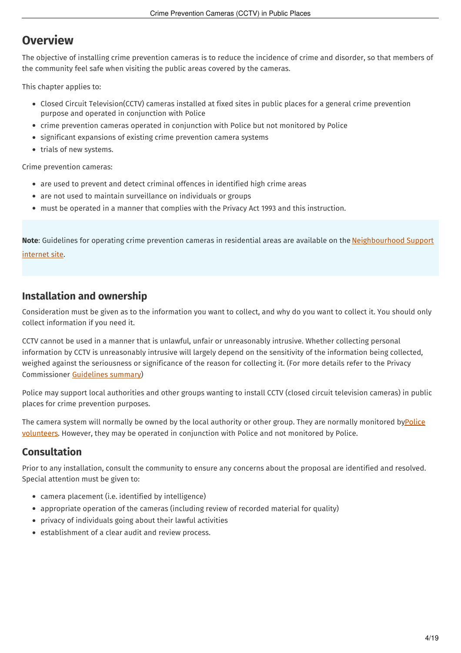## <span id="page-3-0"></span>**[Overview](#page-1-5)**

The objective of installing crime prevention cameras is to reduce the incidence of crime and disorder, so that members of the community feel safe when visiting the public areas covered by the cameras.

This chapter applies to:

- Closed Circuit Television(CCTV) cameras installed at fixed sites in public places for a general crime prevention purpose and operated in conjunction with Police
- crime prevention cameras operated in conjunction with Police but not monitored by Police
- significant expansions of existing crime prevention camera systems
- trials of new systems.

Crime prevention cameras:

- are used to prevent and detect criminal offences in identified high crime areas
- are not used to maintain surveillance on individuals or groups
- must be operated in a manner that complies with the Privacy Act 1993 and this instruction.

**Note**: Guidelines for operating crime prevention cameras in residential areas are available on the [Neighbourhood](http://www.ns.org.nz/) Support internet site.

#### <span id="page-3-1"></span>**[Installation](#page-1-6) and ownership**

Consideration must be given as to the information you want to collect, and why do you want to collect it. You should only collect information if you need it.

CCTV cannot be used in a manner that is unlawful, unfair or unreasonably intrusive. Whether collecting personal information by CCTV is unreasonably intrusive will largely depend on the sensitivity of the information being collected, weighed against the seriousness or significance of the reason for collecting it. (For more details refer to the Privacy Commissioner [Guidelines](https://www.privacy.org.nz/news-and-publications/guidance-resources/privacy-and-cctv-a-guide-to-the-privacy-act-for-businesses-agencies-and-organisations/) summary)

Police may support local authorities and other groups wanting to install CCTV (closed circuit television cameras) in public places for crime prevention purposes.

The camera system will normally be owned by the local authority or other group. They are normally monitored byPolice volunteers. However, they may be operated in [conjunction](http://tenone.police.govt.nz/pi/police-volunteers) with Police and not monitored by Police.

### <span id="page-3-2"></span>**[Consultation](#page-1-7)**

Prior to any installation, consult the community to ensure any concerns about the proposal are identified and resolved. Special attention must be given to:

- camera placement (i.e. identified by intelligence)
- appropriate operation of the cameras (including review of recorded material for quality)
- privacy of individuals going about their lawful activities
- establishment of a clear audit and review process.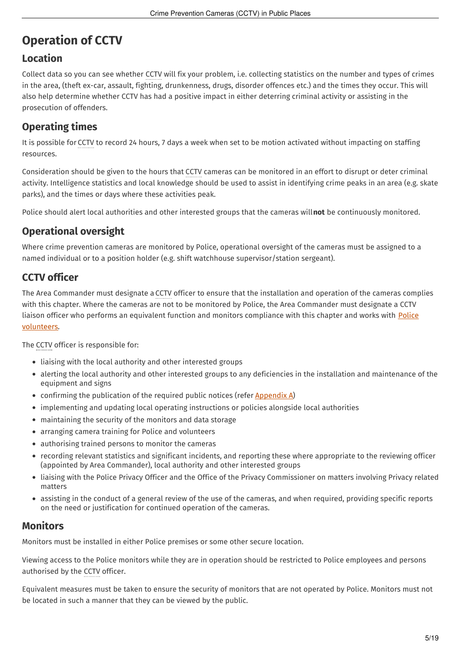## <span id="page-4-0"></span>**[Operation](#page-1-8) of CCTV**

## <span id="page-4-1"></span>**[Location](#page-1-9)**

Collect data so you can see whether CCTV will fix your problem, i.e. collecting statistics on the number and types of crimes in the area, (theft ex-car, assault, fighting, drunkenness, drugs, disorder offences etc.) and the times they occur. This will also help determine whether CCTV has had a positive impact in either deterring criminal activity or assisting in the prosecution of offenders.

## <span id="page-4-2"></span>**[Operating](#page-1-10) times**

It is possible for CCTV to record 24 hours, 7 days a week when set to be motion activated without impacting on staffing resources.

Consideration should be given to the hours that CCTV cameras can be monitored in an effort to disrupt or deter criminal activity. Intelligence statistics and local knowledge should be used to assist in identifying crime peaks in an area (e.g. skate parks), and the times or days where these activities peak.

Police should alert local authorities and other interested groups that the cameras will**not** be continuously monitored.

## <span id="page-4-3"></span>**[Operational](#page-1-11) oversight**

Where crime prevention cameras are monitored by Police, operational oversight of the cameras must be assigned to a named individual or to a position holder (e.g. shift watchhouse supervisor/station sergeant).

## <span id="page-4-4"></span>**CCTV [officer](#page-1-12)**

The Area Commander must designate a CCTV officer to ensure that the installation and operation of the cameras complies with this chapter. Where the cameras are not to be monitored by Police, the Area Commander must designate a CCTV liaison officer who performs an equivalent function and monitors [compliance](http://tenone.police.govt.nz/pi/police-volunteers) with this chapter and works with Police volunteers.

The CCTV officer is responsible for:

- liaising with the local authority and other interested groups
- alerting the local authority and other interested groups to any deficiencies in the installation and maintenance of the equipment and signs
- confirming the publication of the required public notices (refer [Appendix](#page-9-0) A)
- implementing and updating local operating instructions or policies alongside local authorities
- maintaining the security of the monitors and data storage
- arranging camera training for Police and volunteers
- authorising trained persons to monitor the cameras
- recording relevant statistics and significant incidents, and reporting these where appropriate to the reviewing officer (appointed by Area Commander), local authority and other interested groups
- liaising with the Police Privacy Officer and the Office of the Privacy Commissioner on matters involving Privacy related mattors
- assisting in the conduct of a general review of the use of the cameras, and when required, providing specific reports on the need or justification for continued operation of the cameras.

#### <span id="page-4-5"></span>**[Monitors](#page-1-13)**

Monitors must be installed in either Police premises or some other secure location.

Viewing access to the Police monitors while they are in operation should be restricted to Police employees and persons authorised by the CCTV officer.

Equivalent measures must be taken to ensure the security of monitors that are not operated by Police. Monitors must not be located in such a manner that they can be viewed by the public.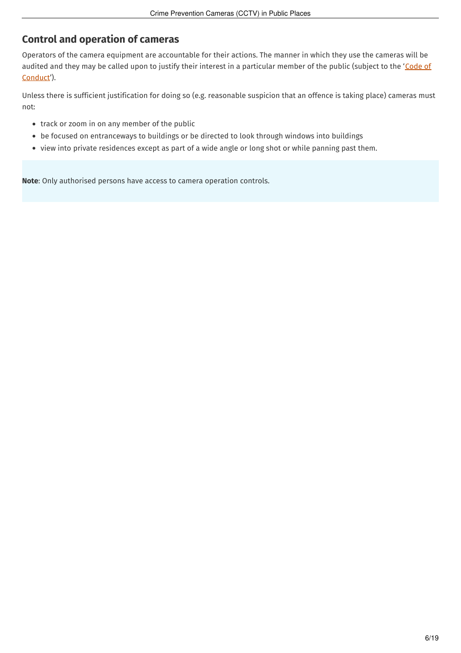## <span id="page-5-0"></span>**Control and [operation](#page-1-14) of cameras**

Operators of the camera equipment are accountable for their actions. The manner in which they use the cameras will be audited and they may be called upon to justify their interest in a particular member of the public (subject to the 'Code of [Conduct'\).](http://tenone.police.govt.nz/pi/code-conduct-gi-c303)

Unless there is sufficient justification for doing so (e.g. reasonable suspicion that an offence is taking place) cameras must not:

- track or zoom in on any member of the public
- be focused on entranceways to buildings or be directed to look through windows into buildings
- view into private residences except as part of a wide angle or long shot or while panning past them.

**Note**: Only authorised persons have access to camera operation controls.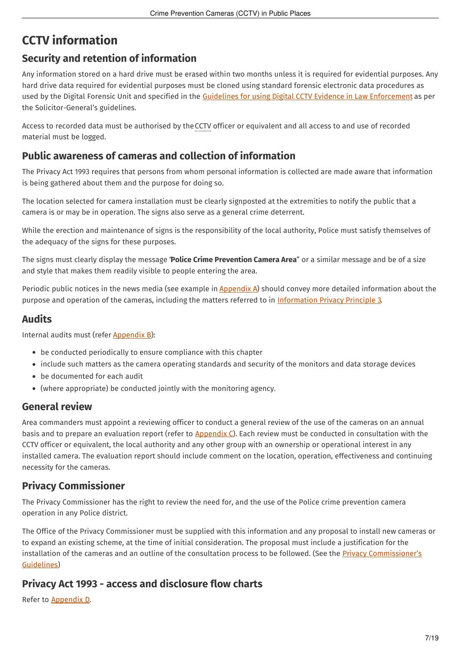## <span id="page-6-0"></span>**CCTV [information](#page-1-15)**

## <span id="page-6-1"></span>**Security and retention of [information](#page-1-16)**

Any information stored on a hard drive must be erased within two months unless it is required for evidential purposes. Any hard drive data required for evidential purposes must be cloned using standard forensic electronic data procedures as used by the Digital Forensic Unit and specified in the Guidelines for using Digital CCTV Evidence in Law [Enforcement](http://www.crownlaw.govt.nz/publications/guidelines-protocols-and-articles/SearchForm?Search=cctv&action_results=L) as per the Solicitor-General's guidelines.

Access to recorded data must be authorised by theCCTV officer or equivalent and all access to and use of recorded material must be logged.

#### <span id="page-6-2"></span>**Public awareness of cameras and collection of [information](#page-1-17)**

The Privacy Act 1993 requires that persons from whom personal information is collected are made aware that information is being gathered about them and the purpose for doing so.

The location selected for camera installation must be clearly signposted at the extremities to notify the public that a camera is or may be in operation. The signs also serve as a general crime deterrent.

While the erection and maintenance of signs is the responsibility of the local authority, Police must satisfy themselves of the adequacy of the signs for these purposes.

The signs must clearly display the message "**Police Crime Prevention Camera Area**" or a similar message and be of a size and style that makes them readily visible to people entering the area.

Periodic public notices in the news media (see example in [Appendix](#page-9-0) A) should convey more detailed information about the purpose and operation of the cameras, including the matters referred to in [Information](http://www.westlaw.co.nz/maf/wlnz/app/document?docguid=I544315fee02c11e08eefa443f89988a0&tocDs=AUNZ_NZ_LEGCOMM_TOC&isTocNav=true&startChunk=1&endChunk=1) Privacy Principle 3.

#### <span id="page-6-3"></span>**[Audits](#page-1-18)**

Internal audits must (refer [Appendix](#page-10-0) B):

- be conducted periodically to ensure compliance with this chapter
- include such matters as the camera operating standards and security of the monitors and data storage devices
- be documented for each audit
- (where appropriate) be conducted jointly with the monitoring agency.

#### <span id="page-6-4"></span>**[General](#page-1-19) review**

Area commanders must appoint a reviewing officer to conduct a general review of the use of the cameras on an annual basis and to prepare an evaluation report (refer to [Appendix](#page-14-0) C). Each review must be conducted in consultation with the CCTV officer or equivalent, the local authority and any other group with an ownership or operational interest in any installed camera. The evaluation report should include comment on the location, operation, effectiveness and continuing necessity for the cameras.

### <span id="page-6-5"></span>**Privacy [Commissioner](#page-1-20)**

The Privacy Commissioner has the right to review the need for, and the use of the Police crime prevention camera operation in any Police district.

The Office of the Privacy Commissioner must be supplied with this information and any proposal to install new cameras or to expand an existing scheme, at the time of initial consideration. The proposal must include a justification for the installation of the cameras and an outline of the consultation process to be followed. (See the Privacy [Commissioner's](https://www.privacy.org.nz/assets/Files/Brochures-and-pamphlets-and-pubs/Privacy-and-CCTV-A-guide-October-2009.pdf) Guidelines)

### <span id="page-6-6"></span>**Privacy Act 1993 - access and [disclosure](#page-1-21) flow charts**

Refer to [Appendix](#page-16-0) D.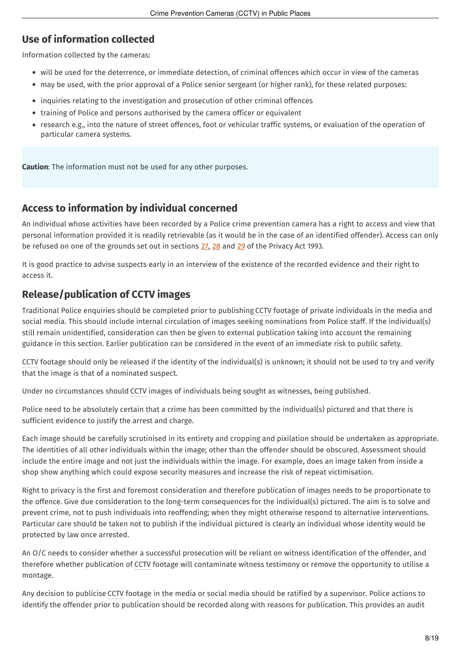## <span id="page-7-0"></span>**Use of [information](#page-1-22) collected**

Information collected by the cameras:

- will be used for the deterrence, or immediate detection, of criminal offences which occur in view of the cameras
- may be used, with the prior approval of a Police senior sergeant (or higher rank), for these related purposes:
- inquiries relating to the investigation and prosecution of other criminal offences
- training of Police and persons authorised by the camera officer or equivalent
- research e.g., into the nature of street offences, foot or vehicular traffic systems, or evaluation of the operation of particular camera systems.

**Caution**: The information must not be used for any other purposes.

### <span id="page-7-1"></span>**Access to [information](#page-1-23) by individual concerned**

An individual whose activities have been recorded by a Police crime prevention camera has a right to access and view that personal information provided it is readily retrievable (as it would be in the case of an identified offender). Access can only be refused on one of the grounds set out in sections [27](http://www.westlaw.co.nz/maf/wlnz/app/document?docguid=I544316a6e02c11e08eefa443f89988a0&tocDs=AUNZ_NZ_LEGCOMM_TOC&isTocNav=true&startChunk=1&endChunk=1), [28](http://www.westlaw.co.nz/maf/wlnz/app/document?docguid=I5443154ae02c11e08eefa443f89988a0&tocDs=AUNZ_NZ_LEGCOMM_TOC&isTocNav=true&startChunk=1&endChunk=1) and [29](http://www.westlaw.co.nz/maf/wlnz/app/document?docguid=I54431680e02c11e08eefa443f89988a0&tocDs=AUNZ_NZ_LEGCOMM_TOC&isTocNav=true&startChunk=1&endChunk=1) of the Privacy Act 1993.

It is good practice to advise suspects early in an interview of the existence of the recorded evidence and their right to access it.

## <span id="page-7-2"></span>**[Release/publication](#page-1-24) of CCTV images**

Traditional Police enquiries should be completed prior to publishing CCTV footage of private individuals in the media and social media. This should include internal circulation of images seeking nominations from Police staff. If the individual(s) still remain unidentified, consideration can then be given to external publication taking into account the remaining guidance in this section. Earlier publication can be considered in the event of an immediate risk to public safety.

CCTV footage should only be released if the identity of the individual(s) is unknown; it should not be used to try and verify that the image is that of a nominated suspect.

Under no circumstances should CCTV images of individuals being sought as witnesses, being published.

Police need to be absolutely certain that a crime has been committed by the individual(s) pictured and that there is sufficient evidence to justify the arrest and charge.

Each image should be carefully scrutinised in its entirety and cropping and pixilation should be undertaken as appropriate. The identities of all other individuals within the image; other than the offender should be obscured. Assessment should include the entire image and not just the individuals within the image. For example, does an image taken from inside a shop show anything which could expose security measures and increase the risk of repeat victimisation.

Right to privacy is the first and foremost consideration and therefore publication of images needs to be proportionate to the offence. Give due consideration to the long-term consequences for the individual(s) pictured. The aim is to solve and prevent crime, not to push individuals into reoffending; when they might otherwise respond to alternative interventions. Particular care should be taken not to publish if the individual pictured is clearly an individual whose identity would be protected by law once arrested.

An O/C needs to consider whether a successful prosecution will be reliant on witness identification of the offender, and therefore whether publication of CCTV footage will contaminate witness testimony or remove the opportunity to utilise a montage.

Any decision to publicise CCTV footage in the media or social media should be ratified by a supervisor. Police actions to identify the offender prior to publication should be recorded along with reasons for publication. This provides an audit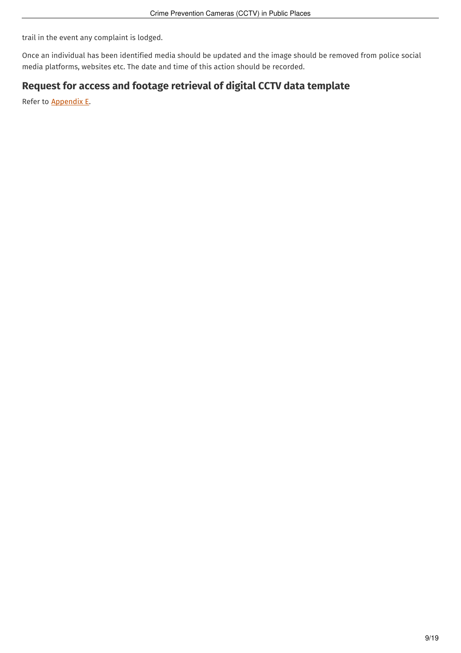trail in the event any complaint is lodged.

Once an individual has been identified media should be updated and the image should be removed from police social media platforms, websites etc. The date and time of this action should be recorded.

### <span id="page-8-0"></span>**Request for access and footage retrieval of digital CCTV data [template](#page-1-25)**

Refer to [Appendix](#page-18-0) E.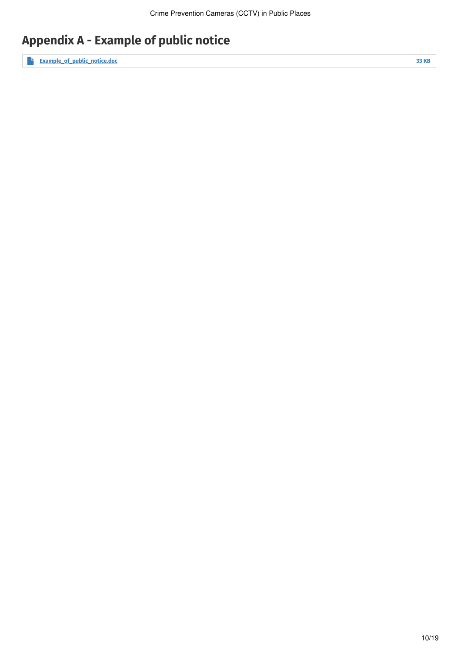## <span id="page-9-0"></span>**[Appendix](#page-1-26) A - Example of public notice**

**[Example\\_of\\_public\\_notice.doc](http://tenone.police.govt.nz/sites/default/files/documents/imported/files/Example_of_public_notice.doc) <sup>33</sup> KB**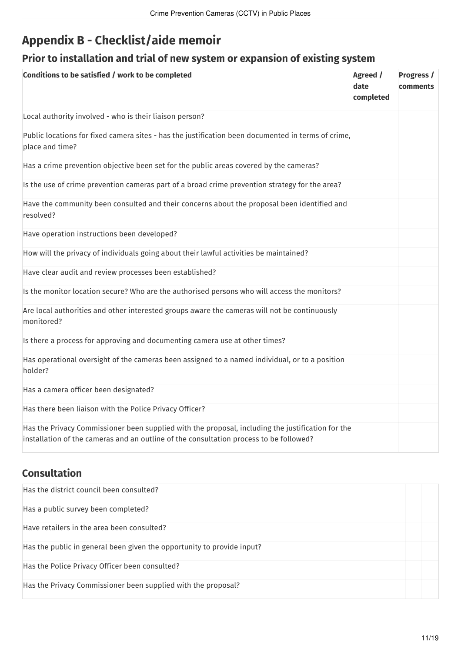## <span id="page-10-0"></span>**Appendix B - [Checklist/aide](#page-1-27) memoir**

## <span id="page-10-1"></span>**Prior to [installation](#page-1-28) and trial of new system or expansion of existing system**

| Conditions to be satisfied / work to be completed                                                                                                                                           | Agreed /<br>date<br>completed | Progress /<br>comments |
|---------------------------------------------------------------------------------------------------------------------------------------------------------------------------------------------|-------------------------------|------------------------|
| Local authority involved - who is their liaison person?                                                                                                                                     |                               |                        |
| Public locations for fixed camera sites - has the justification been documented in terms of crime,<br>place and time?                                                                       |                               |                        |
| Has a crime prevention objective been set for the public areas covered by the cameras?                                                                                                      |                               |                        |
| Is the use of crime prevention cameras part of a broad crime prevention strategy for the area?                                                                                              |                               |                        |
| Have the community been consulted and their concerns about the proposal been identified and<br>resolved?                                                                                    |                               |                        |
| Have operation instructions been developed?                                                                                                                                                 |                               |                        |
| How will the privacy of individuals going about their lawful activities be maintained?                                                                                                      |                               |                        |
| Have clear audit and review processes been established?                                                                                                                                     |                               |                        |
| Is the monitor location secure? Who are the authorised persons who will access the monitors?                                                                                                |                               |                        |
| Are local authorities and other interested groups aware the cameras will not be continuously<br>monitored?                                                                                  |                               |                        |
| Is there a process for approving and documenting camera use at other times?                                                                                                                 |                               |                        |
| Has operational oversight of the cameras been assigned to a named individual, or to a position<br>holder?                                                                                   |                               |                        |
| Has a camera officer been designated?                                                                                                                                                       |                               |                        |
| Has there been liaison with the Police Privacy Officer?                                                                                                                                     |                               |                        |
| Has the Privacy Commissioner been supplied with the proposal, including the justification for the<br>installation of the cameras and an outline of the consultation process to be followed? |                               |                        |

## <span id="page-10-2"></span>**[Consultation](#page-1-29)**

| Has the district council been consulted?                               |  |
|------------------------------------------------------------------------|--|
| Has a public survey been completed?                                    |  |
| Have retailers in the area been consulted?                             |  |
| Has the public in general been given the opportunity to provide input? |  |
| Has the Police Privacy Officer been consulted?                         |  |
| Has the Privacy Commissioner been supplied with the proposal?          |  |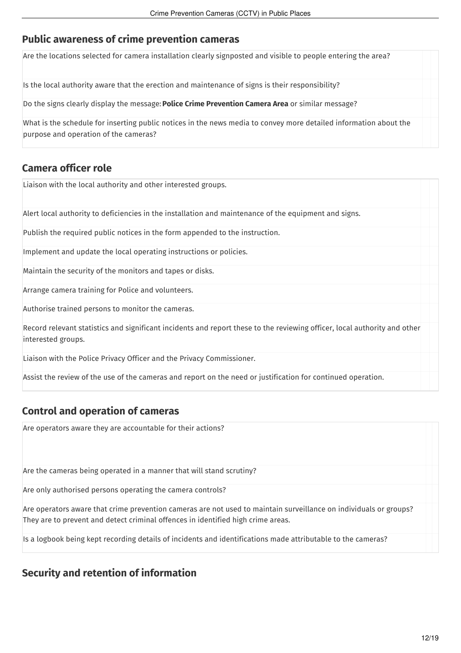## <span id="page-11-0"></span>**Public awareness of crime [prevention](#page-1-30) cameras**

Are the locations selected for camera installation clearly signposted and visible to people entering the area?

Is the local authority aware that the erection and maintenance of signs is their responsibility?

Do the signs clearly display the message: **Police Crime Prevention Camera Area** or similar message?

What is the schedule for inserting public notices in the news media to convey more detailed information about the purpose and operation of the cameras?

### <span id="page-11-1"></span>**[Camera](#page-1-31) officer role**

Liaison with the local authority and other interested groups.

Alert local authority to deficiencies in the installation and maintenance of the equipment and signs.

Publish the required public notices in the form appended to the instruction.

Implement and update the local operating instructions or policies.

Maintain the security of the monitors and tapes or disks.

Arrange camera training for Police and volunteers.

Authorise trained persons to monitor the cameras.

Record relevant statistics and significant incidents and report these to the reviewing officer, local authority and other interested groups.

Liaison with the Police Privacy Officer and the Privacy Commissioner.

Assist the review of the use of the cameras and report on the need or justification for continued operation.

### <span id="page-11-2"></span>**Control and [operation](#page-1-32) of cameras**

Are operators aware they are accountable for their actions?

Are the cameras being operated in a manner that will stand scrutiny?

Are only authorised persons operating the camera controls?

Are operators aware that crime prevention cameras are not used to maintain surveillance on individuals or groups? They are to prevent and detect criminal offences in identified high crime areas.

Is a logbook being kept recording details of incidents and identifications made attributable to the cameras?

## <span id="page-11-3"></span>**Security and retention of [information](#page-1-33)**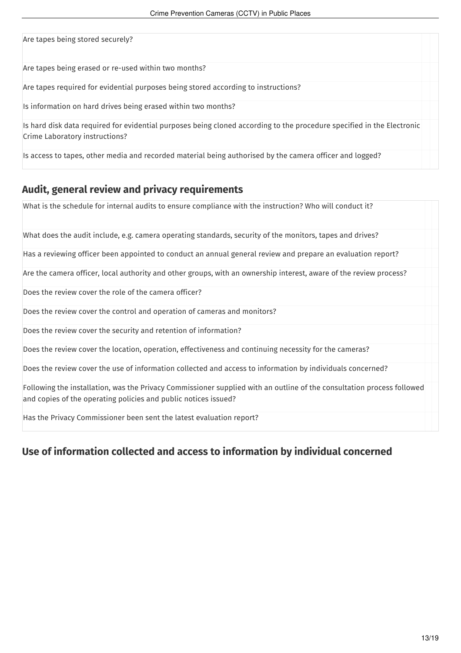| Are tapes being stored securely?                                                                                                                         |  |
|----------------------------------------------------------------------------------------------------------------------------------------------------------|--|
| Are tapes being erased or re-used within two months?                                                                                                     |  |
| Are tapes required for evidential purposes being stored according to instructions?                                                                       |  |
| Is information on hard drives being erased within two months?                                                                                            |  |
| Is hard disk data required for evidential purposes being cloned according to the procedure specified in the Electronic<br>Crime Laboratory instructions? |  |
| Is access to tapes, other media and recorded material being authorised by the camera officer and logged?                                                 |  |

### <span id="page-12-0"></span>**Audit, general review and privacy [requirements](#page-1-34)**

What is the schedule for internal audits to ensure compliance with the instruction? Who will conduct it? What does the audit include, e.g. camera operating standards, security of the monitors, tapes and drives? Has a reviewing officer been appointed to conduct an annual general review and prepare an evaluation report? Are the camera officer, local authority and other groups, with an ownership interest, aware of the review process? Does the review cover the role of the camera officer? Does the review cover the control and operation of cameras and monitors? Does the review cover the security and retention of information? Does the review cover the location, operation, effectiveness and continuing necessity for the cameras? Does the review cover the use of information collected and access to information by individuals concerned? Following the installation, was the Privacy Commissioner supplied with an outline of the consultation process followed and copies of the operating policies and public notices issued? Has the Privacy Commissioner been sent the latest evaluation report?

## <span id="page-12-1"></span>**Use of [information](#page-1-35) collected and access to information by individual concerned**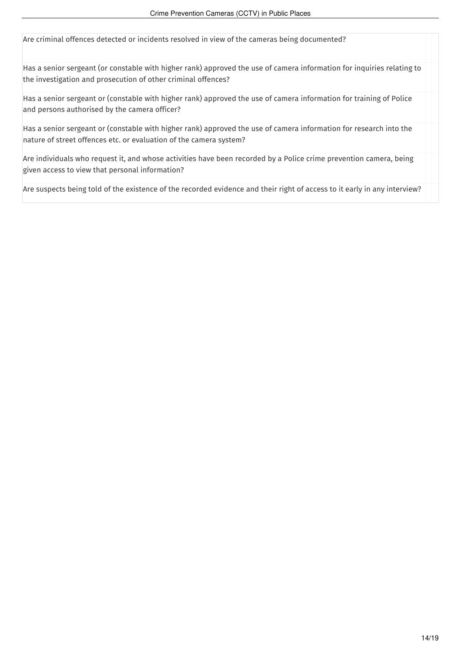Are criminal offences detected or incidents resolved in view of the cameras being documented?

Has a senior sergeant (or constable with higher rank) approved the use of camera information for inquiries relating to the investigation and prosecution of other criminal offences?

Has a senior sergeant or (constable with higher rank) approved the use of camera information for training of Police and persons authorised by the camera officer?

Has a senior sergeant or (constable with higher rank) approved the use of camera information for research into the nature of street offences etc. or evaluation of the camera system?

Are individuals who request it, and whose activities have been recorded by a Police crime prevention camera, being given access to view that personal information?

Are suspects being told of the existence of the recorded evidence and their right of access to it early in any interview?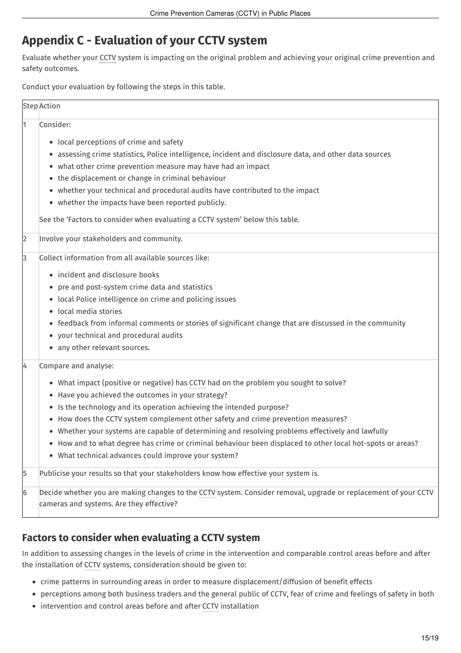## <span id="page-14-0"></span>**Appendix C - [Evaluation](#page-1-36) of your CCTV system**

Evaluate whether your CCTV system is impacting on the original problem and achieving your original crime prevention and safety outcomes.

Conduct your evaluation by following the steps in this table.

|                | <b>Step</b> Action                                                                                                                                                                                                                                                                                                                                                                                                                                                                                                                                                                                           |
|----------------|--------------------------------------------------------------------------------------------------------------------------------------------------------------------------------------------------------------------------------------------------------------------------------------------------------------------------------------------------------------------------------------------------------------------------------------------------------------------------------------------------------------------------------------------------------------------------------------------------------------|
| 1              | Consider:<br>• local perceptions of crime and safety<br>• assessing crime statistics, Police intelligence, incident and disclosure data, and other data sources<br>• what other crime prevention measure may have had an impact<br>• the displacement or change in criminal behaviour<br>• whether your technical and procedural audits have contributed to the impact<br>• whether the impacts have been reported publicly.<br>See the 'Factors to consider when evaluating a CCTV system' below this table.                                                                                                |
| $\overline{2}$ | Involve your stakeholders and community.                                                                                                                                                                                                                                                                                                                                                                                                                                                                                                                                                                     |
| 3              | Collect information from all available sources like:<br>• incident and disclosure books<br>• pre and post-system crime data and statistics<br>• local Police intelligence on crime and policing issues<br>· local media stories<br>• feedback from informal comments or stories of significant change that are discussed in the community<br>• your technical and procedural audits<br>• any other relevant sources.                                                                                                                                                                                         |
| 4              | Compare and analyse:<br>• What impact (positive or negative) has CCTV had on the problem you sought to solve?<br>• Have you achieved the outcomes in your strategy?<br>• Is the technology and its operation achieving the intended purpose?<br>• How does the CCTV system complement other safety and crime prevention measures?<br>• Whether your systems are capable of determining and resolving problems effectively and lawfully<br>• How and to what degree has crime or criminal behaviour been displaced to other local hot-spots or areas?<br>• What technical advances could improve your system? |
| 5              | Publicise your results so that your stakeholders know how effective your system is.                                                                                                                                                                                                                                                                                                                                                                                                                                                                                                                          |
| 6              | Decide whether you are making changes to the CCTV system. Consider removal, upgrade or replacement of your CCTV<br>cameras and systems. Are they effective?                                                                                                                                                                                                                                                                                                                                                                                                                                                  |

## <span id="page-14-1"></span>**Factors to consider when [evaluating](#page-1-37) a CCTV system**

In addition to assessing changes in the levels of crime in the intervention and comparable control areas before and after the installation of CCTV systems, consideration should be given to:

- crime patterns in surrounding areas in order to measure displacement/diffusion of benefit effects
- perceptions among both business traders and the general public of CCTV, fear of crime and feelings of safety in both
- intervention and control areas before and after CCTV installation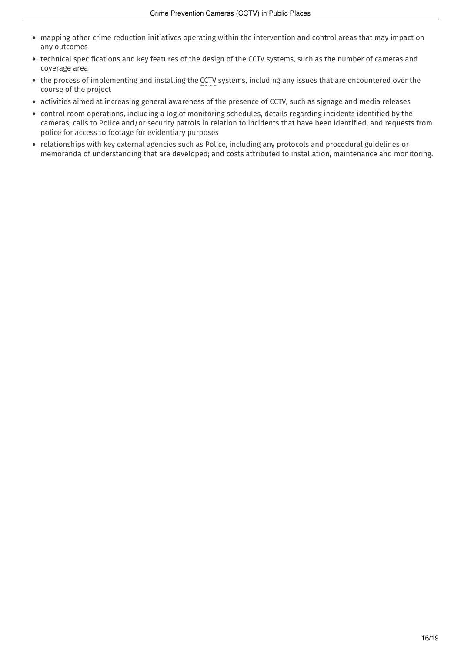- mapping other crime reduction initiatives operating within the intervention and control areas that may impact on any outcomes
- technical specifications and key features of the design of the CCTV systems, such as the number of cameras and coverage area
- the process of implementing and installing the CCTV systems, including any issues that are encountered over the course of the project
- activities aimed at increasing general awareness of the presence of CCTV, such as signage and media releases
- control room operations, including a log of monitoring schedules, details regarding incidents identified by the cameras, calls to Police and/or security patrols in relation to incidents that have been identified, and requests from police for access to footage for evidentiary purposes
- relationships with key external agencies such as Police, including any protocols and procedural guidelines or memoranda of understanding that are developed; and costs attributed to installation, maintenance and monitoring.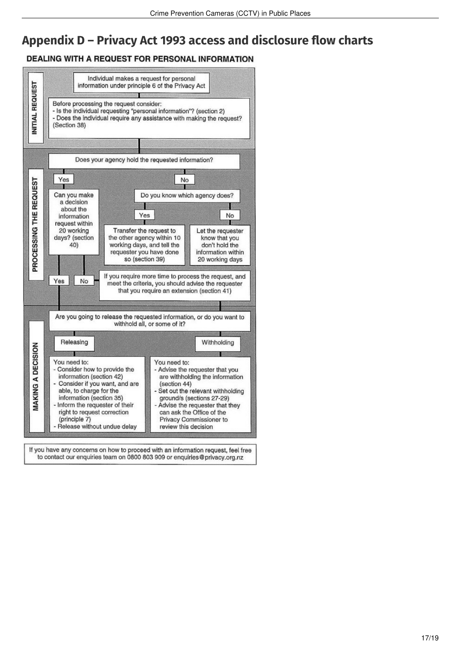## <span id="page-16-0"></span>**Appendix D – Privacy Act 1993 access and [disclosure](#page-1-38) flow charts**

#### **DEALING WITH A REQUEST FOR PERSONAL INFORMATION**



If you have any concerns on how to proceed with an information request, feel free to contact our enquiries team on 0800 803 909 or enquiries@privacy.org.nz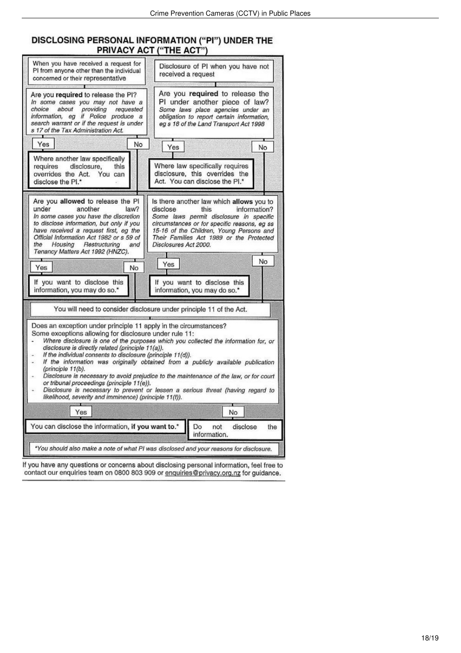# DISCLOSING PERSONAL INFORMATION ("PI") UNDER THE<br>PRIVACY ACT ("THE ACT")

| When you have received a request for<br>PI from anyone other than the individual<br>concerned or their representative<br>Are you required to release the PI?<br>In some cases you may not have a<br>about<br>providing<br>choice<br>requested<br>information, eg if Police produce a<br>search warrant or if the request is under<br>s 17 of the Tax Administration Act.                                                                                                                                                                                                                                                                                                                                                                                                                                                           | Disclosure of PI when you have not<br>received a request<br>Are you required to release the<br>PI under another piece of law?<br>Some laws place agencies under an<br>obligation to report certain information,<br>eg s 18 of the Land Transport Act 1998                                                                                                             |  |  |  |
|------------------------------------------------------------------------------------------------------------------------------------------------------------------------------------------------------------------------------------------------------------------------------------------------------------------------------------------------------------------------------------------------------------------------------------------------------------------------------------------------------------------------------------------------------------------------------------------------------------------------------------------------------------------------------------------------------------------------------------------------------------------------------------------------------------------------------------|-----------------------------------------------------------------------------------------------------------------------------------------------------------------------------------------------------------------------------------------------------------------------------------------------------------------------------------------------------------------------|--|--|--|
| Yes<br>No<br>Where another law specifically<br>requires<br>disclosure,<br>this<br>overrides the Act. You can<br>disclose the PI.*                                                                                                                                                                                                                                                                                                                                                                                                                                                                                                                                                                                                                                                                                                  | Yes<br>No<br>Where law specifically requires<br>disclosure, this overrides the<br>Act. You can disclose the Pl.*                                                                                                                                                                                                                                                      |  |  |  |
| Are you allowed to release the PI<br>under<br>another<br>law?<br>In some cases you have the discretion<br>to disclose information, but only if you<br>have received a request first, eg the<br>Official Information Act 1982 or s 59 of<br>the<br>Housing<br>Restructuring<br>and<br>Tenancy Matters Act 1992 (HNZC).<br>No<br>Yes<br>If you want to disclose this<br>information, you may do so.*                                                                                                                                                                                                                                                                                                                                                                                                                                 | Is there another law which allows you to<br>disclose<br>this<br>information?<br>Some laws permit disclosure in specific<br>circumstances or for specific reasons, eg ss<br>15-16 of the Children, Young Persons and<br>Their Families Act 1989 or the Protected<br>Disclosures Act 2000.<br>No<br>Yes<br>If you want to disclose this<br>information, you may do so.* |  |  |  |
| You will need to consider disclosure under principle 11 of the Act.<br>Does an exception under principle 11 apply in the circumstances?<br>Some exceptions allowing for disclosure under rule 11:<br>Where disclosure is one of the purposes which you collected the information for, or<br>disclosure is directly related (principle 11(a)).<br>If the individual consents to disclosure (principle 11(d)).<br>If the information was originally obtained from a publicly available publication<br>(principle 11(b).<br>Disclosure is necessary to avoid prejudice to the maintenance of the law, or for court<br>÷.<br>or tribunal proceedings (principle 11(e)).<br>Disclosure is necessary to prevent or lessen a serious threat (having regard to<br>٠<br>likelihood, severity and imminence) (principle 11(f)).<br>Yes<br>No |                                                                                                                                                                                                                                                                                                                                                                       |  |  |  |
| You can disclose the information, if you want to.*<br>Do<br>disclose<br>not<br>the<br>information.                                                                                                                                                                                                                                                                                                                                                                                                                                                                                                                                                                                                                                                                                                                                 |                                                                                                                                                                                                                                                                                                                                                                       |  |  |  |
| *You should also make a note of what PI was disclosed and your reasons for disclosure.                                                                                                                                                                                                                                                                                                                                                                                                                                                                                                                                                                                                                                                                                                                                             |                                                                                                                                                                                                                                                                                                                                                                       |  |  |  |

If you have any questions or concerns about disclosing personal information, feel free to contact our enquiries team on 0800 803 909 or enquiries@privacy.org.nz for guidance.